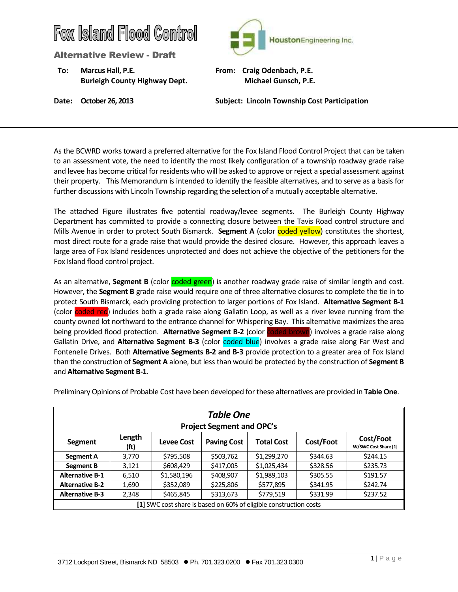

Alternative Review - Draft

 **To: Marcus Hall, P.E. From: Craig Odenbach, P.E. Burleigh County Highway Dept. Michael Gunsch, P.E.**



**Date: October 26, 2013 Subject: Lincoln Township Cost Participation** 

As the BCWRD works toward a preferred alternative for the Fox Island Flood Control Project that can be taken to an assessment vote, the need to identify the most likely configuration of a township roadway grade raise and levee has become critical for residents who will be asked to approve or reject a special assessment against their property. This Memorandum is intended to identify the feasible alternatives, and to serve as a basis for further discussions with Lincoln Township regarding the selection of a mutually acceptable alternative.

The attached Figure illustrates five potential roadway/levee segments. The Burleigh County Highway Department has committed to provide a connecting closure between the Tavis Road control structure and Mills Avenue in order to protect South Bismarck. Segment A (color coded yellow) constitutes the shortest, most direct route for a grade raise that would provide the desired closure. However, this approach leaves a large area of Fox Island residences unprotected and does not achieve the objective of the petitioners for the Fox Island flood control project.

As an alternative, **Segment B** (color coded green) is another roadway grade raise of similar length and cost. However, the **Segment B** grade raise would require one of three alternative closures to complete the tie in to protect South Bismarck, each providing protection to larger portions of Fox Island. **Alternative Segment B-1** (color coded red) includes both a grade raise along Gallatin Loop, as well as a river levee running from the county owned lot northward to the entrance channel for Whispering Bay. This alternative maximizes the area being provided flood protection. **Alternative Segment B-2** (color coded brown) involves a grade raise along Gallatin Drive, and **Alternative Segment B-3** (color coded blue) involves a grade raise along Far West and Fontenelle Drives. Both **Alternative Segments B-2 and B-3** provide protection to a greater area of Fox Island than the construction of **Segment A** alone, but less than would be protected by the construction of **Segment B** and **Alternative Segment B-1**.

| <b>Table One</b>                                                                                                                            |       |                                                                   |                                  |             |          |          |  |  |
|---------------------------------------------------------------------------------------------------------------------------------------------|-------|-------------------------------------------------------------------|----------------------------------|-------------|----------|----------|--|--|
|                                                                                                                                             |       |                                                                   | <b>Project Segment and OPC's</b> |             |          |          |  |  |
| Length<br>Cost/Foot<br><b>Paving Cost</b><br><b>Total Cost</b><br>Cost/Foot<br><b>Levee Cost</b><br>Segment<br>(ft)<br>W/SWC Cost Share [1] |       |                                                                   |                                  |             |          |          |  |  |
| Segment A                                                                                                                                   | 3,770 | \$795,508                                                         | \$503,762                        | \$1,299,270 | \$344.63 | \$244.15 |  |  |
| Segment B                                                                                                                                   | 3,121 | \$608,429                                                         | \$417,005                        | \$1,025,434 | \$328.56 | \$235.73 |  |  |
| <b>Alternative B-1</b>                                                                                                                      | 6.510 | \$1,580,196                                                       | \$408,907                        | \$1,989,103 | \$305.55 | \$191.57 |  |  |
| <b>Alternative B-2</b>                                                                                                                      | 1,690 | \$352,089                                                         | \$225,806                        | \$577,895   | \$341.95 | \$242.74 |  |  |
| \$237.52<br>\$465,845<br>\$313,673<br>\$779,519<br>\$331.99<br><b>Alternative B-3</b><br>2,348                                              |       |                                                                   |                                  |             |          |          |  |  |
|                                                                                                                                             |       | [1] SWC cost share is based on 60% of eligible construction costs |                                  |             |          |          |  |  |

Preliminary Opinions of Probable Cost have been developed for these alternatives are provided in **Table One**.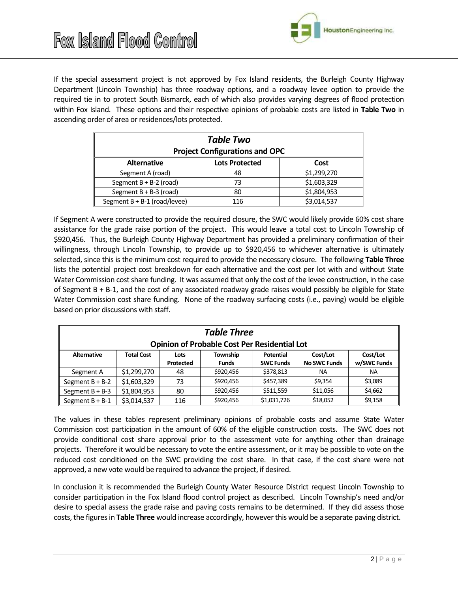

If the special assessment project is not approved by Fox Island residents, the Burleigh County Highway Department (Lincoln Township) has three roadway options, and a roadway levee option to provide the required tie in to protect South Bismarck, each of which also provides varying degrees of flood protection within Fox Island. These options and their respective opinions of probable costs are listed in **Table Two** in ascending order of area or residences/lots protected.

| <b>Table Two</b>                      |                       |             |  |  |  |  |  |
|---------------------------------------|-----------------------|-------------|--|--|--|--|--|
| <b>Project Configurations and OPC</b> |                       |             |  |  |  |  |  |
| <b>Alternative</b>                    | <b>Lots Protected</b> | Cost        |  |  |  |  |  |
| Segment A (road)                      | 48                    | \$1,299,270 |  |  |  |  |  |
| Segment $B + B-2$ (road)              | 73                    | \$1,603,329 |  |  |  |  |  |
| Segment $B + B - 3$ (road)            | 80                    | \$1,804,953 |  |  |  |  |  |
| Segment $B + B - 1$ (road/levee)      | 116                   | \$3,014,537 |  |  |  |  |  |

If Segment A were constructed to provide the required closure, the SWC would likely provide 60% cost share assistance for the grade raise portion of the project. This would leave a total cost to Lincoln Township of \$920,456. Thus, the Burleigh County Highway Department has provided a preliminary confirmation of their willingness, through Lincoln Township, to provide up to \$920,456 to whichever alternative is ultimately selected, since this is the minimum cost required to provide the necessary closure. The following **Table Three** lists the potential project cost breakdown for each alternative and the cost per lot with and without State Water Commission cost share funding. It was assumed that only the cost of the levee construction, in the case of Segment B + B-1, and the cost of any associated roadway grade raises would possibly be eligible for State Water Commission cost share funding. None of the roadway surfacing costs (i.e., paving) would be eligible based on prior discussions with staff.

| <b>Table Three</b>                                  |                   |                          |                          |                                      |                                 |                         |  |  |
|-----------------------------------------------------|-------------------|--------------------------|--------------------------|--------------------------------------|---------------------------------|-------------------------|--|--|
| <b>Opinion of Probable Cost Per Residential Lot</b> |                   |                          |                          |                                      |                                 |                         |  |  |
| <b>Alternative</b>                                  | <b>Total Cost</b> | Lots<br><b>Protected</b> | Township<br><b>Funds</b> | <b>Potential</b><br><b>SWC Funds</b> | Cost/Lot<br><b>No SWC Funds</b> | Cost/Lot<br>w/SWC Funds |  |  |
| Segment A                                           | \$1,299,270       | 48                       | \$920,456                | \$378,813                            | <b>NA</b>                       | <b>NA</b>               |  |  |
| Segment $B + B-2$                                   | \$1,603,329       | 73                       | \$920,456                | \$457,389                            | \$9.354                         | \$3,089                 |  |  |
| Segment $B + B-3$                                   | \$1,804,953       | 80                       | \$920,456                | \$511,559                            | \$11,056                        | \$4,662                 |  |  |
| Segment $B + B-1$                                   | \$3.014.537       | 116                      | \$920,456                | \$1,031,726                          | \$18,052                        | \$9,158                 |  |  |

The values in these tables represent preliminary opinions of probable costs and assume State Water Commission cost participation in the amount of 60% of the eligible construction costs. The SWC does not provide conditional cost share approval prior to the assessment vote for anything other than drainage projects. Therefore it would be necessary to vote the entire assessment, or it may be possible to vote on the reduced cost conditioned on the SWC providing the cost share. In that case, if the cost share were not approved, a new vote would be required to advance the project, if desired.

In conclusion it is recommended the Burleigh County Water Resource District request Lincoln Township to consider participation in the Fox Island flood control project as described. Lincoln Township's need and/or desire to special assess the grade raise and paving costs remains to be determined. If they did assess those costs, the figures in **Table Three** would increase accordingly, however this would be a separate paving district.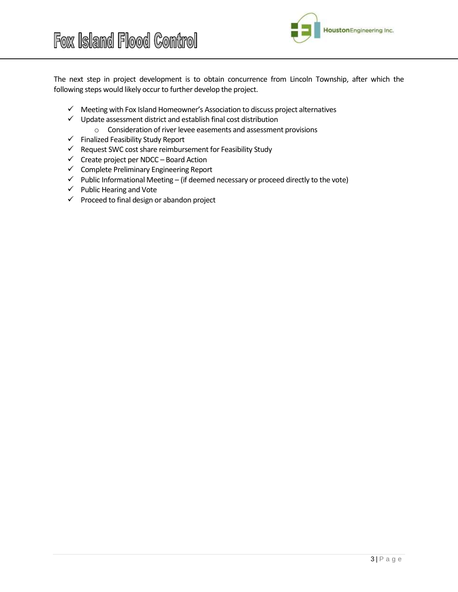

The next step in project development is to obtain concurrence from Lincoln Township, after which the following steps would likely occur to further develop the project.

- $\checkmark$  Meeting with Fox Island Homeowner's Association to discuss project alternatives
- $\checkmark$  Update assessment district and establish final cost distribution
	- o Consideration of river levee easements and assessment provisions
- $\checkmark$  Finalized Feasibility Study Report
- $\checkmark$  Request SWC cost share reimbursement for Feasibility Study
- $\checkmark$  Create project per NDCC Board Action
- $\checkmark$  Complete Preliminary Engineering Report
- $\checkmark$  Public Informational Meeting (if deemed necessary or proceed directly to the vote)
- $\checkmark$  Public Hearing and Vote
- $\checkmark$  Proceed to final design or abandon project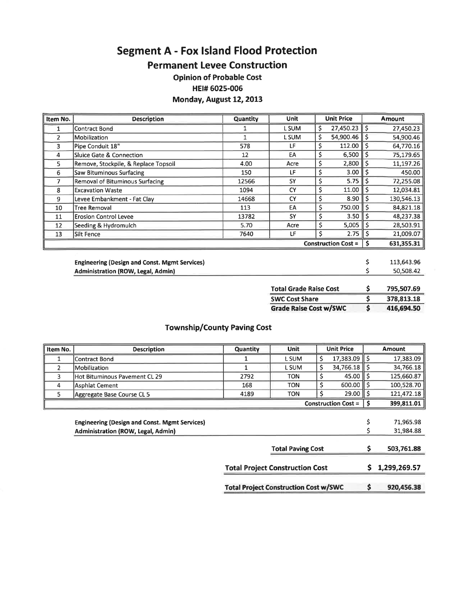**Segment A - Fox Island Flood Protection** 

**Permanent Levee Construction** 

**Opinion of Probable Cost** 

HEI# 6025-006

Monday, August 12, 2013

| Item No.       | <b>Description</b>                     | <b>Quantity</b> | <b>Unit</b> | <b>Unit Price</b>    | Amount     |
|----------------|----------------------------------------|-----------------|-------------|----------------------|------------|
|                | Contract Bond                          |                 | L SUM       | $27.450.23$ \$<br>\$ | 27,450.23  |
| $\overline{2}$ | Mobilization                           |                 | L SUM       | \$<br>$54,900.46$ \$ | 54,900.46  |
| 3              | Pipe Conduit 18"                       | 578             | LF          | \$<br>112.00         | 64,770.16  |
| 4              | Sluice Gate & Connection               | 12              | EA          | \$<br>6,500          | 75,179.65  |
| 5.             | Remove, Stockpile, & Replace Topsoil   | 4.00            | Acre        | \$<br>2,800          | 11,197.26  |
| 6              | <b>Saw Bituminous Surfacing</b>        | 150             | LF          | 3.00<br>\$           | 450.00     |
| 7              | <b>Removal of Bituminous Surfacing</b> | 12566           | SY          | 5.75<br>\$           | 72,255.08  |
| 8              | <b>Excavation Waste</b>                | 1094            | CY          | 11.00<br>\$          | 12,034.81  |
| 9              | Levee Embankment - Fat Clay            | 14668           | <b>CY</b>   | \$<br>8.90           | 130,546.13 |
| 10             | <b>Tree Removal</b>                    | 113             | EA          | \$<br>750.00         | 84,821.18  |
| 11             | <b>Erosion Control Levee</b>           | 13782           | <b>SY</b>   | 3.50                 | 48,237.38  |
| 12             | Seeding & Hydromulch                   | 5.70            | Acre        | \$<br>5,005          | 28,503.91  |
| 13             | Silt Fence                             | 7640            | LF          | $2.75$ S             | 21,009.07  |
|                | 631,355.31                             |                 |             |                      |            |

| <b>Engineering (Design and Const. Mgmt Services)</b> | 113,643,96 |
|------------------------------------------------------|------------|
| Administration (ROW, Legal, Admin)                   | 50.508.42  |

| <b>Total Grade Raise Cost</b> | 795,507.69 |
|-------------------------------|------------|
| <b>SWC Cost Share</b>         | 378,813.18 |
| <b>Grade Raise Cost w/SWC</b> | 416.694.50 |

| Item No.                                     | <b>Description</b>                                                                         | <b>Quantity</b> | <b>Unit</b>              |    | <b>Unit Price</b>          |            | <b>Amount</b>          |
|----------------------------------------------|--------------------------------------------------------------------------------------------|-----------------|--------------------------|----|----------------------------|------------|------------------------|
| 1                                            | Contract Bond                                                                              |                 | L SUM                    | \$ | 17,383.09   \$             |            | 17,383.09              |
| $\overline{2}$                               | Mobilization                                                                               |                 | L SUM                    | \$ | $34,766.18$ $\parallel$ \$ |            | 34,766.18              |
| 3                                            | Hot Bituminous Pavement CL 29                                                              | 2792            | <b>TON</b>               | \$ | 45.00                      |            | 125,660.87             |
| 4                                            | Asphlat Cement                                                                             | 168             | TON                      | \$ | 600.00                     |            | 100,528.70             |
| 5.                                           | Aggregate Base Course CL 5                                                                 | 4189            | <b>TON</b>               | Ś  | 29.00                      |            | 121,472.18             |
|                                              |                                                                                            |                 |                          |    | <b>Construction Cost =</b> |            | 399,811.01             |
|                                              | <b>Engineering (Design and Const. Mgmt Services)</b><br>Administration (ROW, Legal, Admin) |                 |                          |    |                            | \$         | 71,965.98<br>31,984.88 |
|                                              |                                                                                            |                 | <b>Total Paving Cost</b> |    |                            |            | 503,761.88             |
|                                              | <b>Total Project Construction Cost</b>                                                     |                 |                          |    |                            | S.         | 1,299,269.57           |
| <b>Total Project Construction Cost w/SWC</b> |                                                                                            |                 |                          |    | s                          | 920.456.38 |                        |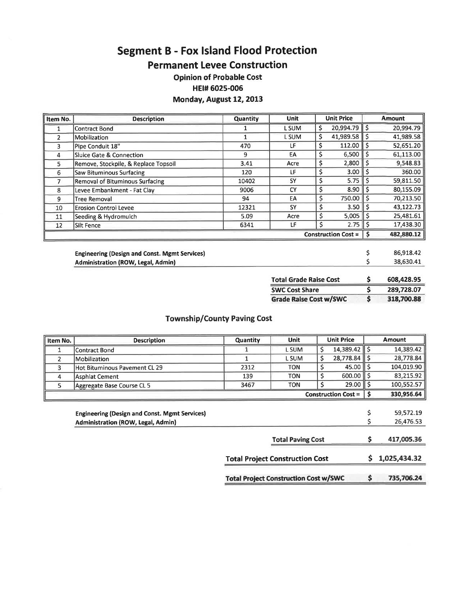**Segment B - Fox Island Flood Protection** 

**Permanent Levee Construction** 

**Opinion of Probable Cost** 

HEI# 6025-006

# Monday, August 12, 2013

| Item No. | <b>Description</b>                     | Quantity | <b>Unit</b> | <b>Unit Price</b> | <b>Amount</b> |
|----------|----------------------------------------|----------|-------------|-------------------|---------------|
|          | <b>Contract Bond</b>                   |          | L SUM       | \$<br>20,994.79   | 20,994.79     |
|          | Mobilization                           |          | L SUM       | \$<br>41,989.58   | 41,989.58     |
| 3        | Pipe Conduit 18"                       | 470      | LF          | \$<br>112.00      | 52,651.20     |
| 4        | Sluice Gate & Connection               | 9        | EA          | 6,500<br>\$.      | 61,113.00     |
| 5.       | Remove, Stockpile, & Replace Topsoil   | 3.41     | Acre        | 2,800<br>S        | 9,548.83      |
| 6        | <b>Saw Bituminous Surfacing</b>        | 120      | LF.         | 3.00              | 360.00        |
|          | <b>Removal of Bituminous Surfacing</b> | 10402    | SY          | 5.75              | 59,811.50     |
| 8        | Levee Embankment - Fat Clay            | 9006     | <b>CY</b>   | 8.90<br>S         | 80,155.09     |
| 9        | <b>Tree Removal</b>                    | 94       | EA          | 750.00<br>\$      | 70,213.50     |
| 10       | <b>Erosion Control Levee</b>           | 12321    | <b>SY</b>   | \$<br>3.50        | 43,122.73     |
| 11       | Seeding & Hydromulch                   | 5.09     | Acre        | \$<br>5,005       | 25,481.61     |
| 12       | Silt Fence                             | 6341     | LF          | 2.75<br>S         | 17,438.30     |
|          | <b>Construction Cost =</b>             |          |             |                   |               |

| <b>Engineering (Design and Const. Mgmt Services)</b> | 86,918.42 |
|------------------------------------------------------|-----------|
| Administration (ROW, Legal, Admin)                   | 38.630.41 |

| <b>Total Grade Raise Cost</b> |   | 608,428.95 |
|-------------------------------|---|------------|
| <b>SWC Cost Share</b>         |   | 289,728.07 |
| <b>Grade Raise Cost w/SWC</b> | Ŝ | 318,700.88 |

| Item No.       | <b>Description</b>                                                                         | Quantity                                     | <b>Unit</b>                            | <b>Unit Price</b>          |      | <b>Amount</b>          |
|----------------|--------------------------------------------------------------------------------------------|----------------------------------------------|----------------------------------------|----------------------------|------|------------------------|
|                | Contract Bond                                                                              |                                              | L SUM                                  | \$<br>$14,389.42$ \$       |      | 14,389.42              |
| $\overline{2}$ | Mobilization                                                                               |                                              | L SUM                                  | \$<br>28,778.84            | ll S | 28,778.84              |
| 3              | Hot Bituminous Pavement CL 29                                                              | 2312                                         | <b>TON</b>                             | \$<br>45.00                | II S | 104,019.90             |
| 4              | Asphlat Cement                                                                             | 139                                          | TON                                    | \$<br>600.00    \$         |      | 83,215.92              |
| 5              | Aggregate Base Course CL 5                                                                 | 3467                                         | TON                                    | Ś<br>$29.00$ S             |      | 100,552.57             |
|                |                                                                                            |                                              |                                        | <b>Construction Cost =</b> | -S   | 330,956.64             |
|                | <b>Engineering (Design and Const. Mgmt Services)</b><br>Administration (ROW, Legal, Admin) |                                              |                                        |                            |      | 59,572.19<br>26,476.53 |
|                |                                                                                            |                                              | <b>Total Paving Cost</b>               |                            |      | 417,005.36             |
|                |                                                                                            |                                              | <b>Total Project Construction Cost</b> |                            |      | 1,025,434.32           |
|                |                                                                                            | <b>Total Project Construction Cost w/SWC</b> |                                        |                            |      |                        |
|                |                                                                                            |                                              |                                        |                            | s    | 735,706.24             |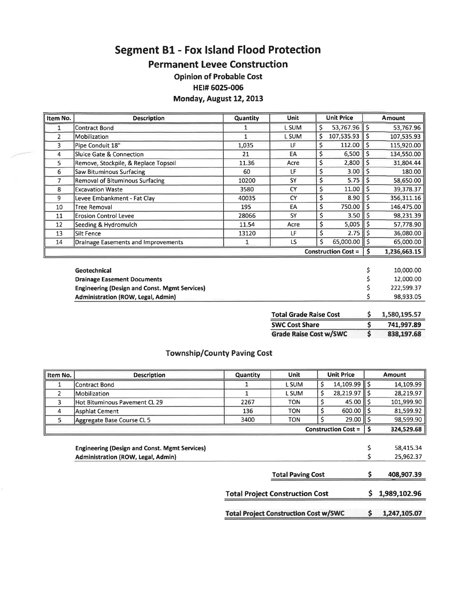**Segment B1 - Fox Island Flood Protection** 

**Permanent Levee Construction** 

**Opinion of Probable Cost** 

HEI# 6025-006

Monday, August 12, 2013

| Item No.                   | <b>Description</b>                   | Quantity | Unit  |    | <b>Unit Price</b> |   | <b>Amount</b> |
|----------------------------|--------------------------------------|----------|-------|----|-------------------|---|---------------|
|                            | <b>Contract Bond</b>                 |          | L SUM | \$ | $53,767.96$ \$    |   | 53,767.96     |
|                            | Mobilization                         |          | L SUM | \$ | $107,535.93$ \$   |   | 107,535.93    |
| 3.                         | Pipe Conduit 18"                     | 1,035    | LF    | \$ | 112.00            |   | 115,920.00    |
| 4                          | Sluice Gate & Connection             | 21       | EA    | \$ | 6,500             |   | 134,550.00    |
| 5.                         | Remove, Stockpile, & Replace Topsoil | 11.36    | Acre  | \$ | 2,800             |   | 31,804.44     |
| 6                          | <b>Saw Bituminous Surfacing</b>      | 60       | LF    | \$ | 3.00              |   | 180.00        |
|                            | Removal of Bituminous Surfacing      | 10200    | SY    | \$ | 5.75              |   | 58,650.00     |
| 8                          | <b>Excavation Waste</b>              | 3580     | CY    | \$ | 11.00             |   | 39,378.37     |
| 9                          | Levee Embankment - Fat Clay          | 40035    | CY    | \$ | 8.90              |   | 356,311.16    |
| 10                         | <b>Tree Removal</b>                  | 195      | EA    | \$ | 750.00            |   | 146,475.00    |
| 11                         | <b>Erosion Control Levee</b>         | 28066    | SY    | \$ | 3.50              |   | 98,231.39     |
| 12                         | Seeding & Hydromulch                 | 11.54    | Acre  | \$ | 5,005             |   | 57,778.90     |
| 13                         | lSilt Fence                          | 13120    | LF    | \$ | 2.75              |   | 36,080.00     |
| 14                         | Drainage Easements and Improvements  |          | LS    | Ś. | $65,000.00$   \$  |   | 65,000.00     |
| <b>Construction Cost =</b> |                                      |          |       |    |                   | S | 1,236,663.15  |

| Geotechnical                                         | 10,000.00  |
|------------------------------------------------------|------------|
| <b>Drainage Easement Documents</b>                   | 12,000.00  |
| <b>Engineering (Design and Const. Mgmt Services)</b> | 222.599.37 |
| Administration (ROW, Legal, Admin)                   | 98,933.05  |
|                                                      |            |

| <b>Total Grade Raise Cost</b> | 1,580,195.57 |
|-------------------------------|--------------|
| <b>SWC Cost Share</b>         | 741,997.89   |
| <b>Grade Raise Cost w/SWC</b> | 838,197.68   |

| Item No.                   | <b>Description</b>                                                                         | Quantity | <b>Unit</b>                            |    | <b>Unit Price</b> |      | <b>Amount</b>          |
|----------------------------|--------------------------------------------------------------------------------------------|----------|----------------------------------------|----|-------------------|------|------------------------|
|                            | <b>Contract Bond</b>                                                                       |          | L SUM                                  | \$ | $14,109.99$ \$    |      | 14,109.99              |
| $\overline{2}$             | Mobilization                                                                               |          | L SUM                                  | \$ | 28,219.97         | ll S | 28,219.97              |
| 3                          | Hot Bituminous Pavement CL 29                                                              | 2267     | <b>TON</b>                             | \$ | $45.00$ S         |      | 101,999.90             |
| 4                          | Asphlat Cement                                                                             | 136      | <b>TON</b>                             | \$ | 600.00            |      | 81,599.92              |
| 5                          | Aggregate Base Course CL 5                                                                 | 3400     | <b>TON</b>                             | Ś  | 29.00             |      | 98,599.90              |
| <b>Construction Cost =</b> |                                                                                            |          |                                        |    |                   | s    | 324,529.68             |
|                            | <b>Engineering (Design and Const. Mgmt Services)</b><br>Administration (ROW, Legal, Admin) |          |                                        |    |                   |      | 58,415.34<br>25,962.37 |
|                            |                                                                                            |          | <b>Total Paving Cost</b>               |    |                   | S.   | 408,907.39             |
|                            |                                                                                            |          | <b>Total Project Construction Cost</b> |    |                   | S.   | 1,989,102.96           |
|                            | <b>Total Project Construction Cost w/SWC</b>                                               |          |                                        |    |                   | S.   | 1,247,105.07           |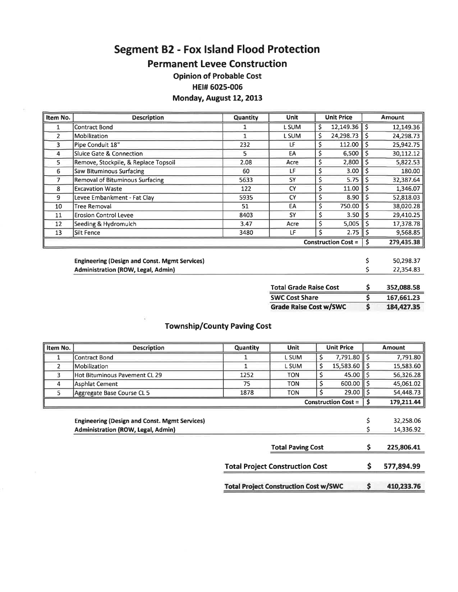**Segment B2 - Fox Island Flood Protection** 

**Permanent Levee Construction** 

**Opinion of Probable Cost** 

HEI# 6025-006

Monday, August 12, 2013

| Item No. | <b>Description</b>                   | Quantity | <b>Unit</b> |     | <b>Unit Price</b> | <b>Amount</b> |
|----------|--------------------------------------|----------|-------------|-----|-------------------|---------------|
|          | Contract Bond                        |          | L SUM       | \$  | $12,149.36$ \$    | 12,149.36     |
|          | Mobilization                         |          | L SUM       | \$  | 24,298.73         | 24,298.73     |
| 3        | Pipe Conduit 18"                     | 232      | LF          | \$  | 112.00            | 25,942.75     |
| 4        | Sluice Gate & Connection             | 5        | EA          | \$  | 6,500             | 30,112.12     |
| 5.       | Remove, Stockpile, & Replace Topsoil | 2.08     | Acre        | \$  | 2,800             | 5,822.53      |
| 6        | <b>Saw Bituminous Surfacing</b>      | 60       | LF          |     | 3.00              | 180.00        |
|          | Removal of Bituminous Surfacing      | 5633     | SY          | \$. | 5.75              | 32,387.64     |
| 8        | <b>Excavation Waste</b>              | 122      | CY          | \$  | 11.00             | 1,346.07      |
| 9        | Levee Embankment - Fat Clay          | 5935     | <b>CY</b>   | \$  | 8.90              | 52,818.03     |
| 10       | Tree Removal                         | 51       | EA          | Ŝ   | 750.00            | 38,020.28     |
| 11       | <b>Erosion Control Levee</b>         | 8403     | <b>SY</b>   | \$  | 3.50              | 29,410.25     |
| 12       | Seeding & Hydromulch                 | 3.47     | Acre        | \$  | 5,005             | 17,378.78     |
| 13       | Silt Fence                           | 3480     | LF          | Ś   | 2.75              | 9,568.85      |
|          | <b>Construction Cost =</b>           |          |             |     |                   | 279,435.38    |

| <b>Engineering (Design and Const. Mgmt Services)</b> | 50.298.37 |
|------------------------------------------------------|-----------|
| Administration (ROW, Legal, Admin)                   | 22,354.83 |

| <b>Total Grade Raise Cost</b> | 352,088.58 |  |  |  |
|-------------------------------|------------|--|--|--|
| <b>SWC Cost Share</b>         | 167,661.23 |  |  |  |
| <b>Grade Raise Cost w/SWC</b> | 184.427.35 |  |  |  |

| Item No.                                     | <b>Description</b>                                   | <b>Quantity</b> | <b>Unit</b>                            |    | <b>Unit Price</b>          |            | <b>Amount</b> |
|----------------------------------------------|------------------------------------------------------|-----------------|----------------------------------------|----|----------------------------|------------|---------------|
|                                              | Contract Bond                                        |                 | L SUM                                  | \$ | $7,791.80$ \$              |            | 7,791.80      |
| $\overline{2}$                               | Mobilization                                         |                 | L SUM                                  | \$ | $15,583.60$ S              |            | 15,583.60     |
| 3                                            | Hot Bituminous Pavement CL 29                        | 1252            | <b>TON</b>                             | \$ | 45.00                      |            | 56,326.28     |
| 4                                            | Asphlat Cement                                       | 75              | TON                                    | \$ | $600.00$    \$             |            | 45,061.02     |
| 5.                                           | Aggregate Base Course CL 5                           | 1878            | <b>TON</b>                             | \$ | 29.00                      |            | 54,448.73     |
|                                              |                                                      |                 |                                        |    | <b>Construction Cost =</b> |            | 179,211.44    |
|                                              |                                                      |                 |                                        |    |                            |            |               |
|                                              | <b>Engineering (Design and Const. Mgmt Services)</b> |                 |                                        |    |                            | \$         | 32,258.06     |
|                                              | Administration (ROW, Legal, Admin)                   |                 |                                        |    |                            |            | 14,336.92     |
|                                              |                                                      |                 |                                        |    |                            |            |               |
|                                              |                                                      |                 | <b>Total Paving Cost</b>               |    |                            |            | 225,806.41    |
|                                              |                                                      |                 |                                        |    |                            |            |               |
|                                              |                                                      |                 | <b>Total Project Construction Cost</b> |    |                            |            | 577,894.99    |
| <b>Total Project Construction Cost w/SWC</b> |                                                      |                 |                                        |    | S                          | 410.233.76 |               |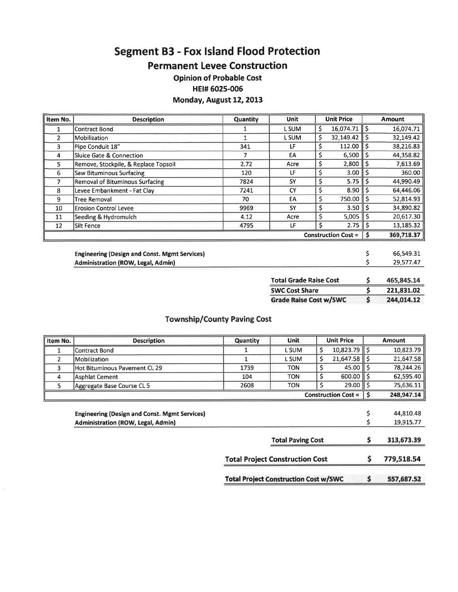**Segment B3 - Fox Island Flood Protection** 

**Permanent Levee Construction** 

**Opinion of Probable Cost** 

HEI# 6025-006

Monday, August 12, 2013

| Item No. | <b>Description</b>                   | <b>Quantity</b> | <b>Unit</b> | <b>Unit Price</b>   | <b>Amount</b> |  |
|----------|--------------------------------------|-----------------|-------------|---------------------|---------------|--|
|          | <b>Contract Bond</b>                 |                 | L SUM       | \$<br>16,074.71     | 16,074.71     |  |
|          | Mobilization                         |                 | L SUM       | \$<br>32,149.42     | 32,149.42     |  |
| 3        | Pipe Conduit 18"                     | 341             | LF          | $112.00$ S<br>\$    | 38,216.83     |  |
| 4        | Sluice Gate & Connection             |                 | EA          | $6,500$    \$<br>\$ | 44,358.82     |  |
| 5.       | Remove, Stockpile, & Replace Topsoil | 2.72            | Acre        | \$<br>2,800         | 7,613.69      |  |
| 6        | Saw Bituminous Surfacing             | 120             | LF          | \$<br>3.00          | 360.00        |  |
|          | Removal of Bituminous Surfacing      | 7824            | SY          | \$<br>5.75          | 44,990.49     |  |
| 8        | Levee Embankment - Fat Clay          | 7241            | <b>CY</b>   | 8.90<br>\$          | 64,446.06     |  |
| 9        | Tree Removal                         | 70              | EA          | Ś<br>750.00         | 52,814.93     |  |
| 10       | <b>Erosion Control Levee</b>         | 9969            | SY          | 3.50<br>Ŝ           | 34,890.82     |  |
| 11       | Seeding & Hydromulch                 | 4.12            | Acre        | \$<br>5,005         | 20,617.30     |  |
| 12       | Silt Fence                           | 4795            | LF          | 2.75                | 13,185.32     |  |
|          | <b>Construction Cost =</b>           |                 |             |                     |               |  |

| <b>Engineering (Design and Const. Mgmt Services)</b> | 66.549.31 |
|------------------------------------------------------|-----------|
| <b>Administration (ROW, Legal, Admin)</b>            | 29.577.47 |

| <b>Total Grade Raise Cost</b> |   | 465.845.14 |
|-------------------------------|---|------------|
| <b>SWC Cost Share</b>         |   | 221,831.02 |
| <b>Grade Raise Cost w/SWC</b> | Ŝ | 244,014.12 |

| Item No.                                     | <b>Description</b>                                   | <b>Quantity</b> | <b>Unit</b>                            | <b>Unit Price</b>    |     | <b>Amount</b> |
|----------------------------------------------|------------------------------------------------------|-----------------|----------------------------------------|----------------------|-----|---------------|
|                                              | Contract Bond                                        |                 | L SUM                                  | \$<br>$10,823.79$ \$ |     | 10,823.79     |
| $\overline{2}$                               | Mobilization                                         |                 | L SUM                                  | \$<br>21,647.58      | ١\$ | 21,647.58     |
| 3                                            | Hot Bituminous Pavement CL 29                        | 1739            | TON                                    | \$<br>45.00          | -S  | 78,244.26     |
| 4                                            | Asphlat Cement                                       | 104             | TON                                    | \$<br>600.00         | S   | 62,595.40     |
| 5                                            | Aggregate Base Course CL 5                           | 2608            | TON                                    | Ś<br>29.00           | \$. | 75,636.11     |
| <b>Construction Cost =</b>                   |                                                      |                 |                                        |                      |     | 248,947.14    |
|                                              |                                                      |                 |                                        |                      |     |               |
|                                              | <b>Engineering (Design and Const. Mgmt Services)</b> |                 |                                        |                      | \$  | 44,810.48     |
|                                              | Administration (ROW, Legal, Admin)                   |                 |                                        |                      |     | 19,915.77     |
|                                              |                                                      |                 |                                        |                      |     |               |
|                                              |                                                      |                 | <b>Total Paving Cost</b>               |                      | S.  | 313,673.39    |
|                                              |                                                      |                 |                                        |                      |     |               |
|                                              |                                                      |                 | <b>Total Project Construction Cost</b> |                      |     | 779,518.54    |
| <b>Total Project Construction Cost w/SWC</b> |                                                      |                 |                                        |                      | s   | 557.687.52    |